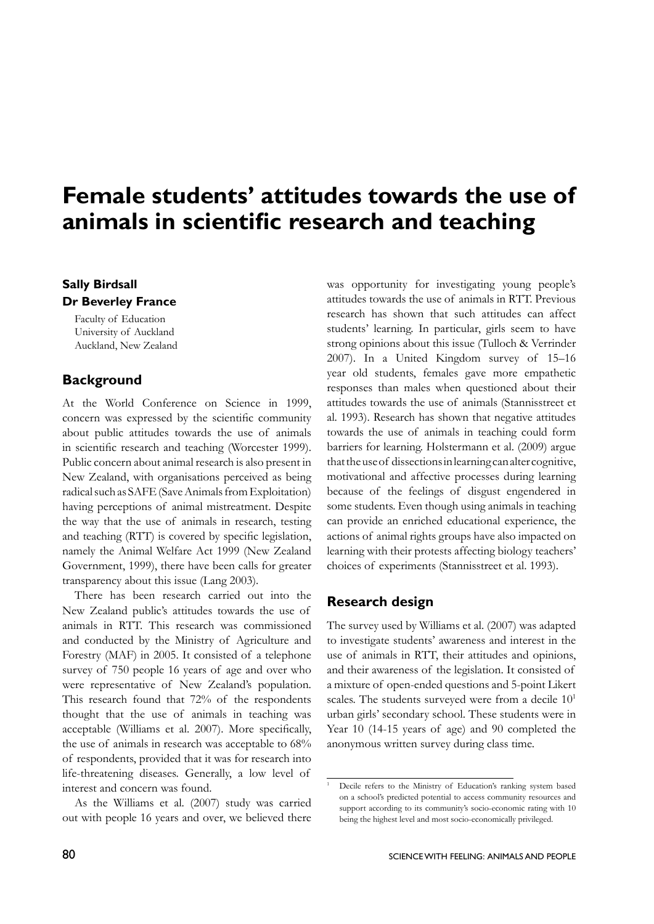# **Female students' attitudes towards the use of animals in scientific research and teaching**

## **Sally Birdsall Dr Beverley France**

Faculty of Education University of Auckland Auckland, New Zealand

## **Background**

At the World Conference on Science in 1999, concern was expressed by the scientific community about public attitudes towards the use of animals in scientific research and teaching (Worcester 1999). Public concern about animal research is also present in New Zealand, with organisations perceived as being radical such as SAFE (Save Animals from Exploitation) having perceptions of animal mistreatment. Despite the way that the use of animals in research, testing and teaching (RTT) is covered by specific legislation, namely the Animal Welfare Act 1999 (New Zealand Government, 1999), there have been calls for greater transparency about this issue (Lang 2003).

There has been research carried out into the New Zealand public's attitudes towards the use of animals in RTT. This research was commissioned and conducted by the Ministry of Agriculture and Forestry (MAF) in 2005. It consisted of a telephone survey of 750 people 16 years of age and over who were representative of New Zealand's population. This research found that 72% of the respondents thought that the use of animals in teaching was acceptable (Williams et al. 2007). More specifically, the use of animals in research was acceptable to 68% of respondents, provided that it was for research into life-threatening diseases. Generally, a low level of interest and concern was found.

As the Williams et al. (2007) study was carried out with people 16 years and over, we believed there was opportunity for investigating young people's attitudes towards the use of animals in RTT. Previous research has shown that such attitudes can affect students' learning. In particular, girls seem to have strong opinions about this issue (Tulloch & Verrinder 2007). In a United Kingdom survey of 15–16 year old students, females gave more empathetic responses than males when questioned about their attitudes towards the use of animals (Stannisstreet et al. 1993). Research has shown that negative attitudes towards the use of animals in teaching could form barriers for learning. Holstermann et al. (2009) argue that the use of dissections in learning can alter cognitive, motivational and affective processes during learning because of the feelings of disgust engendered in some students. Even though using animals in teaching can provide an enriched educational experience, the actions of animal rights groups have also impacted on learning with their protests affecting biology teachers' choices of experiments (Stannisstreet et al. 1993).

# **Research design**

The survey used by Williams et al. (2007) was adapted to investigate students' awareness and interest in the use of animals in RTT, their attitudes and opinions, and their awareness of the legislation. It consisted of a mixture of open-ended questions and 5-point Likert scales. The students surveyed were from a decile  $10<sup>1</sup>$ urban girls' secondary school. These students were in Year 10 (14-15 years of age) and 90 completed the anonymous written survey during class time.

<sup>1</sup> Decile refers to the Ministry of Education's ranking system based on a school's predicted potential to access community resources and support according to its community's socio-economic rating with 10 being the highest level and most socio-economically privileged.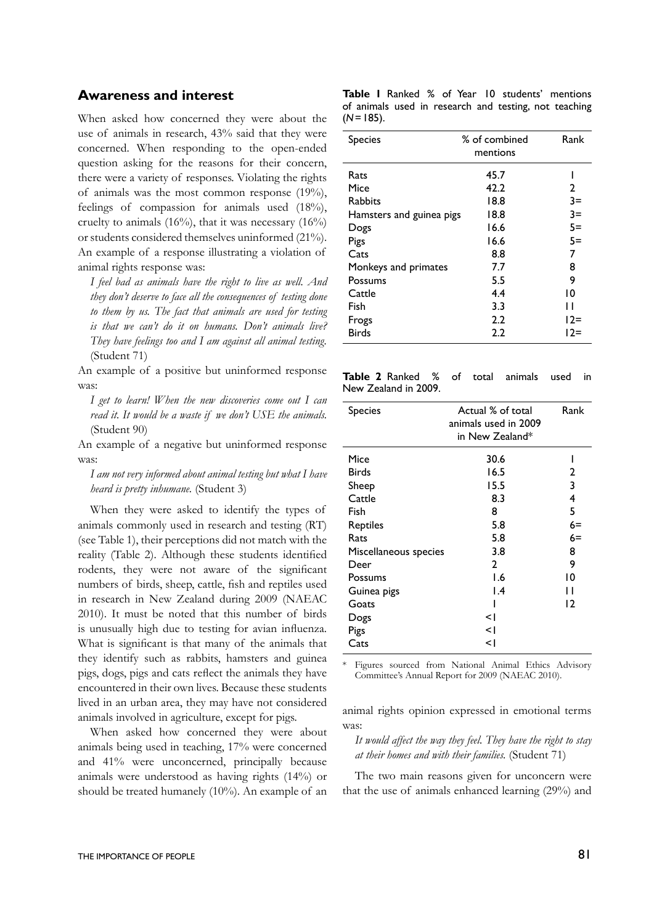#### **Awareness and interest**

When asked how concerned they were about the use of animals in research, 43% said that they were concerned. When responding to the open-ended question asking for the reasons for their concern, there were a variety of responses. Violating the rights of animals was the most common response (19%), feelings of compassion for animals used (18%), cruelty to animals  $(16%)$ , that it was necessary  $(16%)$ or students considered themselves uninformed (21%). An example of a response illustrating a violation of animal rights response was:

*I feel bad as animals have the right to live as well. And they don't deserve to face all the consequences of testing done to them by us. The fact that animals are used for testing is that we can't do it on humans. Don't animals live? They have feelings too and I am against all animal testing.* (Student 71)

An example of a positive but uninformed response was:

*I get to learn! When the new discoveries come out I can read it. It would be a waste if we don't USE the animals.* (Student 90)

An example of a negative but uninformed response was:

*I am not very informed about animal testing but what I have heard is pretty inhumane.* (Student 3)

When they were asked to identify the types of animals commonly used in research and testing (RT) (see Table 1), their perceptions did not match with the reality (Table 2). Although these students identified rodents, they were not aware of the significant numbers of birds, sheep, cattle, fish and reptiles used in research in New Zealand during 2009 (NAEAC 2010). It must be noted that this number of birds is unusually high due to testing for avian influenza. What is significant is that many of the animals that they identify such as rabbits, hamsters and guinea pigs, dogs, pigs and cats reflect the animals they have encountered in their own lives. Because these students lived in an urban area, they may have not considered animals involved in agriculture, except for pigs.

When asked how concerned they were about animals being used in teaching, 17% were concerned and 41% were unconcerned, principally because animals were understood as having rights (14%) or should be treated humanely (10%). An example of an

|             |  |  |  | <b>Table I</b> Ranked % of Year 10 students' mentions |
|-------------|--|--|--|-------------------------------------------------------|
|             |  |  |  | of animals used in research and testing, not teaching |
| $(N=185)$ . |  |  |  |                                                       |

| <b>Species</b>           | % of combined | Rank   |
|--------------------------|---------------|--------|
|                          | mentions      |        |
| Rats                     | 45.7          |        |
| Mice                     | 42.2          | 2      |
| Rabbits                  | 18.8          | $3=$   |
| Hamsters and guinea pigs | 18.8          | $3=$   |
| Dogs                     | 16.6          | $5=$   |
| Pigs                     | 16.6          | $5=$   |
| Cats                     | 8.8           | 7      |
| Monkeys and primates     | 7.7           | 8      |
| Possums                  | 5.5           | 9      |
| Cattle                   | 4.4           | 10     |
| Fish                     | 3.3           | Н      |
| Frogs                    | 2.2           | $12=$  |
| <b>Birds</b>             | 2.2           | $12 =$ |

| <b>Table 2</b> Ranked % of total animals used in |  |  |  |
|--------------------------------------------------|--|--|--|
| New Zealand in 2009.                             |  |  |  |

| <b>Species</b>        | Actual % of total<br>animals used in 2009<br>in New Zealand* | Rank |
|-----------------------|--------------------------------------------------------------|------|
| Mice                  | 30.6                                                         |      |
| <b>Birds</b>          | 16.5                                                         | 2    |
| Sheep                 | 15.5                                                         | 3    |
| Cattle                | 8.3                                                          | 4    |
| Fish                  | 8                                                            | 5    |
| Reptiles              | 5.8                                                          | 6=   |
| Rats                  | 5.8                                                          | $6=$ |
| Miscellaneous species | 3.8                                                          | 8    |
| Deer                  | $\mathbf{2}$                                                 | 9    |
| Possums               | 1.6                                                          | 10   |
| Guinea pigs           | $\mathsf{I}$ .4                                              | п    |
| Goats                 |                                                              | 12   |
| Dogs                  | <1                                                           |      |
| Pigs                  | <1                                                           |      |
| Cats                  | ا>                                                           |      |
|                       |                                                              |      |

Figures sourced from National Animal Ethics Advisory Committee's Annual Report for 2009 (NAEAC 2010).

animal rights opinion expressed in emotional terms was:

*It would affect the way they feel. They have the right to stay at their homes and with their families.* (Student 71)

The two main reasons given for unconcern were that the use of animals enhanced learning (29%) and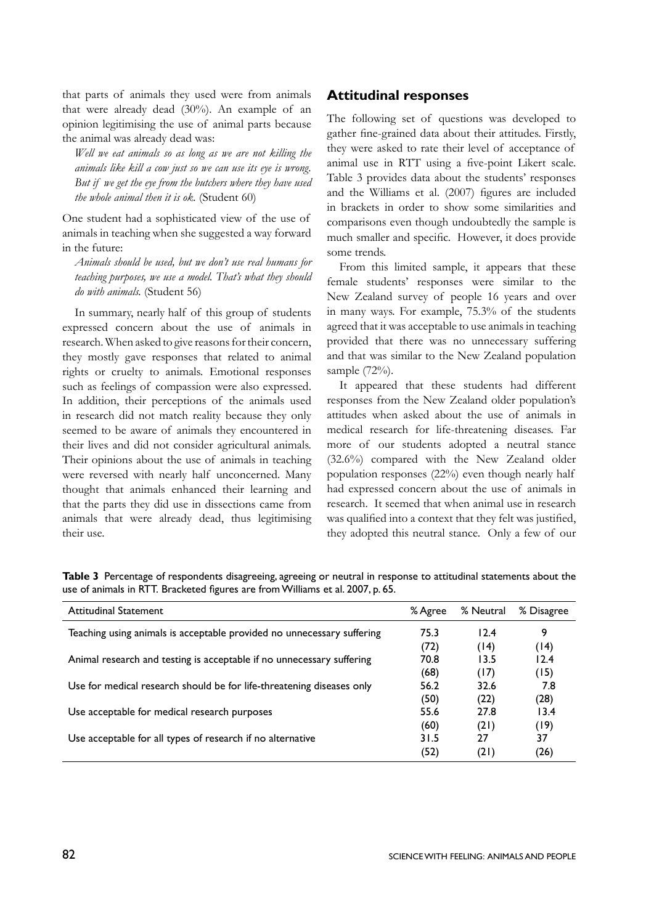that parts of animals they used were from animals that were already dead (30%). An example of an opinion legitimising the use of animal parts because the animal was already dead was:

*Well we eat animals so as long as we are not killing the animals like kill a cow just so we can use its eye is wrong. But if we get the eye from the butchers where they have used the whole animal then it is ok.* (Student 60)

One student had a sophisticated view of the use of animals in teaching when she suggested a way forward in the future:

*Animals should be used, but we don't use real humans for teaching purposes, we use a model. That's what they should do with animals.* (Student 56)

In summary, nearly half of this group of students expressed concern about the use of animals in research. When asked to give reasons for their concern, they mostly gave responses that related to animal rights or cruelty to animals. Emotional responses such as feelings of compassion were also expressed. In addition, their perceptions of the animals used in research did not match reality because they only seemed to be aware of animals they encountered in their lives and did not consider agricultural animals. Their opinions about the use of animals in teaching were reversed with nearly half unconcerned. Many thought that animals enhanced their learning and that the parts they did use in dissections came from animals that were already dead, thus legitimising their use.

#### **Attitudinal responses**

The following set of questions was developed to gather fine-grained data about their attitudes. Firstly, they were asked to rate their level of acceptance of animal use in RTT using a five-point Likert scale. Table 3 provides data about the students' responses and the Williams et al. (2007) figures are included in brackets in order to show some similarities and comparisons even though undoubtedly the sample is much smaller and specific. However, it does provide some trends.

From this limited sample, it appears that these female students' responses were similar to the New Zealand survey of people 16 years and over in many ways. For example, 75.3% of the students agreed that it was acceptable to use animals in teaching provided that there was no unnecessary suffering and that was similar to the New Zealand population sample (72%).

It appeared that these students had different responses from the New Zealand older population's attitudes when asked about the use of animals in medical research for life-threatening diseases. Far more of our students adopted a neutral stance (32.6%) compared with the New Zealand older population responses (22%) even though nearly half had expressed concern about the use of animals in research. It seemed that when animal use in research was qualified into a context that they felt was justified, they adopted this neutral stance. Only a few of our

**Table 3** Percentage of respondents disagreeing, agreeing or neutral in response to attitudinal statements about the use of animals in RTT. Bracketed figures are from Williams et al. 2007, p. 65.

| <b>Attitudinal Statement</b>                                           | % Agree | % Neutral | % Disagree |
|------------------------------------------------------------------------|---------|-----------|------------|
| Teaching using animals is acceptable provided no unnecessary suffering | 75.3    | 12.4      | 9          |
|                                                                        | (72)    | (14)      | (14)       |
| Animal research and testing is acceptable if no unnecessary suffering  | 70.8    | 13.5      | 12.4       |
|                                                                        | (68)    | (17)      | (15)       |
| Use for medical research should be for life-threatening diseases only  | 56.2    | 32.6      | 7.8        |
|                                                                        | (50)    | (22)      | (28)       |
| Use acceptable for medical research purposes                           | 55.6    | 27.8      | 13.4       |
|                                                                        | (60)    | (21)      | (19)       |
| Use acceptable for all types of research if no alternative             | 31.5    | 27        | 37         |
|                                                                        | (52)    | (21)      | (26)       |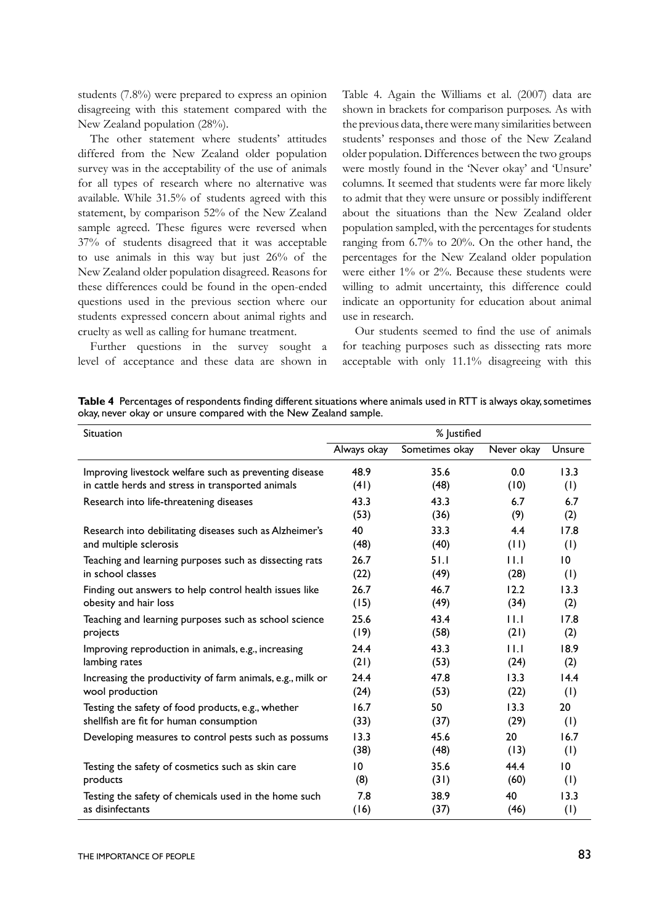students (7.8%) were prepared to express an opinion disagreeing with this statement compared with the New Zealand population (28%).

The other statement where students' attitudes differed from the New Zealand older population survey was in the acceptability of the use of animals for all types of research where no alternative was available. While 31.5% of students agreed with this statement, by comparison 52% of the New Zealand sample agreed. These figures were reversed when 37% of students disagreed that it was acceptable to use animals in this way but just 26% of the New Zealand older population disagreed. Reasons for these differences could be found in the open-ended questions used in the previous section where our students expressed concern about animal rights and cruelty as well as calling for humane treatment.

Further questions in the survey sought a level of acceptance and these data are shown in Table 4. Again the Williams et al. (2007) data are shown in brackets for comparison purposes. As with the previous data, there were many similarities between students' responses and those of the New Zealand older population. Differences between the two groups were mostly found in the 'Never okay' and 'Unsure' columns. It seemed that students were far more likely to admit that they were unsure or possibly indifferent about the situations than the New Zealand older population sampled, with the percentages for students ranging from 6.7% to 20%. On the other hand, the percentages for the New Zealand older population were either 1% or 2%. Because these students were willing to admit uncertainty, this difference could indicate an opportunity for education about animal use in research.

Our students seemed to find the use of animals for teaching purposes such as dissecting rats more acceptable with only 11.1% disagreeing with this

**Table 4** Percentages of respondents finding different situations where animals used in RTT is always okay, sometimes okay, never okay or unsure compared with the New Zealand sample.

| Situation                                                  | % Justified     |                |            |                 |  |
|------------------------------------------------------------|-----------------|----------------|------------|-----------------|--|
|                                                            | Always okay     | Sometimes okay | Never okay | Unsure          |  |
| Improving livestock welfare such as preventing disease     | 48.9            | 35.6           | 0.0        | 13.3            |  |
| in cattle herds and stress in transported animals          | (41)            | (48)           | (10)       | (1)             |  |
| Research into life-threatening diseases                    | 43.3            | 43.3           | 6.7        | 6.7             |  |
|                                                            | (53)            | (36)           | (9)        | (2)             |  |
| Research into debilitating diseases such as Alzheimer's    | 40              | 33.3           | 4.4        | 17.8            |  |
| and multiple sclerosis                                     | (48)            | (40)           | (11)       | (1)             |  |
| Teaching and learning purposes such as dissecting rats     | 26.7            | 51.I           | 11.1       | $\overline{10}$ |  |
| in school classes                                          | (22)            | (49)           | (28)       | (1)             |  |
| Finding out answers to help control health issues like     | 26.7            | 46.7           | 12.2       | 13.3            |  |
| obesity and hair loss                                      | (15)            | (49)           | (34)       | (2)             |  |
| Teaching and learning purposes such as school science      | 25.6            | 43.4           | 11.1       | 17.8            |  |
| projects                                                   | (19)            | (58)           | (21)       | (2)             |  |
| Improving reproduction in animals, e.g., increasing        | 24.4            | 43.3           | 11.1       | 18.9            |  |
| lambing rates                                              | (21)            | (53)           | (24)       | (2)             |  |
| Increasing the productivity of farm animals, e.g., milk or | 24.4            | 47.8           | 13.3       | 14.4            |  |
| wool production                                            | (24)            | (53)           | (22)       | (1)             |  |
| Testing the safety of food products, e.g., whether         | 16.7            | 50             | 13.3       | 20              |  |
| shellfish are fit for human consumption                    | (33)            | (37)           | (29)       | (1)             |  |
| Developing measures to control pests such as possums       | 13.3            | 45.6           | 20         | 16.7            |  |
|                                                            | (38)            | (48)           | (13)       | (1)             |  |
| Testing the safety of cosmetics such as skin care          | $\overline{10}$ | 35.6           | 44.4       | 10 <sup>°</sup> |  |
| products                                                   | (8)             | (31)           | (60)       | (1)             |  |
| Testing the safety of chemicals used in the home such      | 7.8             | 38.9           | 40         | 13.3            |  |
| as disinfectants                                           | (16)            | (37)           | (46)       | (1)             |  |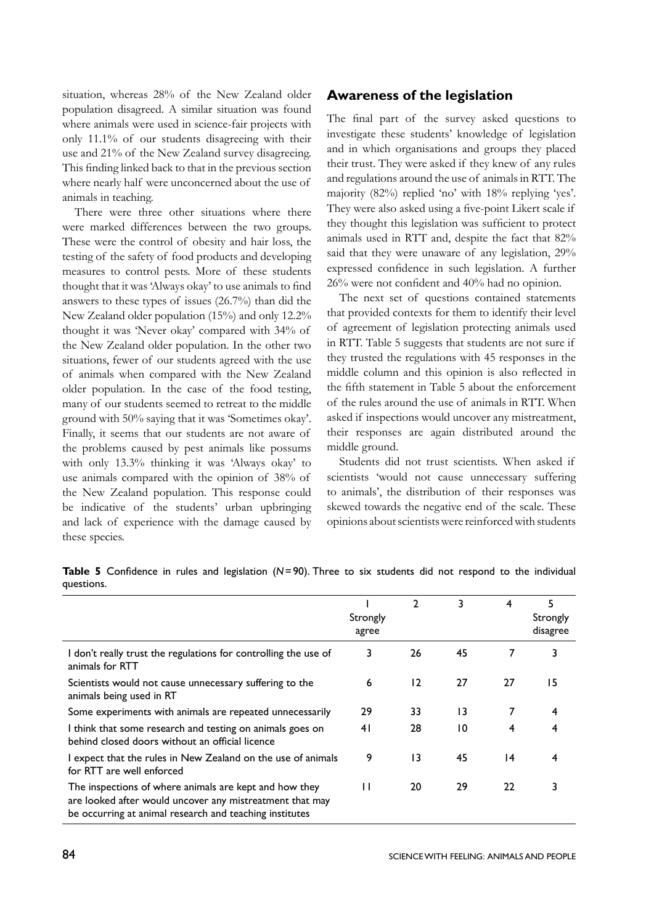situation, whereas 28% of the New Zealand older population disagreed. A similar situation was found where animals were used in science-fair projects with only 11.1% of our students disagreeing with their use and 21% of the New Zealand survey disagreeing. This finding linked back to that in the previous section where nearly half were unconcerned about the use of animals in teaching.

There were three other situations where there were marked differences between the two groups. These were the control of obesity and hair loss, the testing of the safety of food products and developing measures to control pests. More of these students thought that it was 'Always okay' to use animals to find answers to these types of issues (26.7%) than did the New Zealand older population (15%) and only 12.2% thought it was 'Never okay' compared with 34% of the New Zealand older population. In the other two situations, fewer of our students agreed with the use of animals when compared with the New Zealand older population. In the case of the food testing, many of our students seemed to retreat to the middle ground with 50% saying that it was 'Sometimes okay'. Finally, it seems that our students are not aware of the problems caused by pest animals like possums with only 13.3% thinking it was 'Always okay' to use animals compared with the opinion of 38% of the New Zealand population. This response could be indicative of the students' urban upbringing and lack of experience with the damage caused by these species.

### **Awareness of the legislation**

The final part of the survey asked questions to investigate these students' knowledge of legislation and in which organisations and groups they placed their trust. They were asked if they knew of any rules and regulations around the use of animals in RTT. The majority (82%) replied 'no' with 18% replying 'yes'. They were also asked using a five-point Likert scale if they thought this legislation was sufficient to protect animals used in RTT and, despite the fact that 82% said that they were unaware of any legislation, 29% expressed confidence in such legislation. A further 26% were not confident and 40% had no opinion.

The next set of questions contained statements that provided contexts for them to identify their level of agreement of legislation protecting animals used in RTT. Table 5 suggests that students are not sure if they trusted the regulations with 45 responses in the middle column and this opinion is also reflected in the fifth statement in Table 5 about the enforcement of the rules around the use of animals in RTT. When asked if inspections would uncover any mistreatment, their responses are again distributed around the middle ground.

Students did not trust scientists. When asked if scientists 'would not cause unnecessary suffering to animals', the distribution of their responses was skewed towards the negative end of the scale. These opinions about scientists were reinforced with students

|                                                                                                                                                                               | Strongly<br>agree | 2               | 3  | 4  | 5<br>Strongly<br>disagree |
|-------------------------------------------------------------------------------------------------------------------------------------------------------------------------------|-------------------|-----------------|----|----|---------------------------|
| I don't really trust the regulations for controlling the use of<br>animals for RTT                                                                                            | 3                 | 26              | 45 | 7  |                           |
| Scientists would not cause unnecessary suffering to the<br>animals being used in RT                                                                                           | 6                 | 12              | 27 | 27 | 15                        |
| Some experiments with animals are repeated unnecessarily                                                                                                                      | 29                | 33              | 13 | 7  | 4                         |
| I think that some research and testing on animals goes on<br>behind closed doors without an official licence                                                                  | 41                | 28              | 10 | 4  | 4                         |
| I expect that the rules in New Zealand on the use of animals<br>for RTT are well enforced                                                                                     | 9                 | $\overline{13}$ | 45 | 14 | 4                         |
| The inspections of where animals are kept and how they<br>are looked after would uncover any mistreatment that may<br>be occurring at animal research and teaching institutes | П                 | 20              | 29 | 22 |                           |

**Table 5** Confidence in rules and legislation (*N*=90). Three to six students did not respond to the individual questions.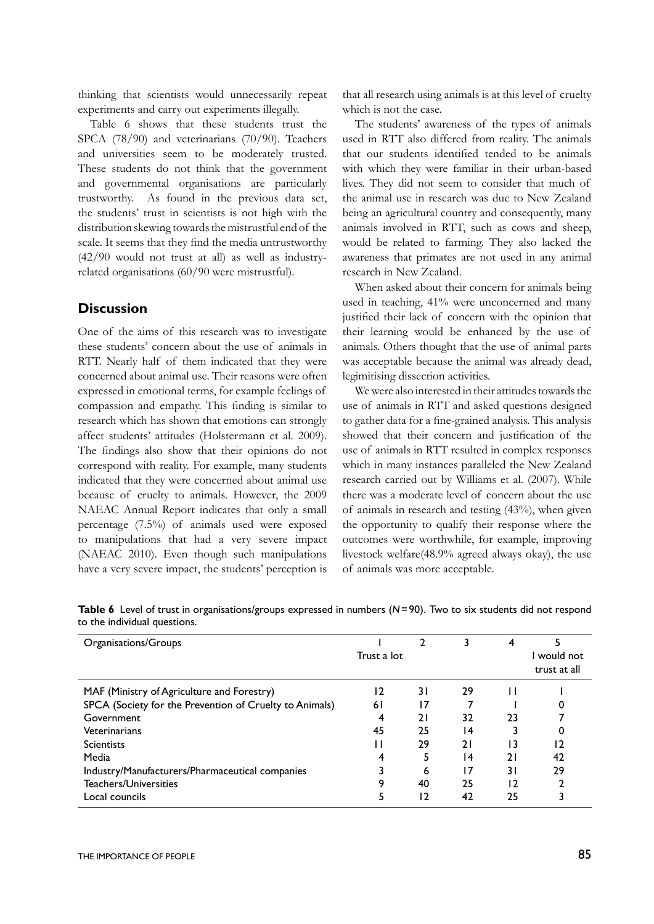thinking that scientists would unnecessarily repeat experiments and carry out experiments illegally.

Table 6 shows that these students trust the SPCA (78/90) and veterinarians (70/90). Teachers and universities seem to be moderately trusted. These students do not think that the government and governmental organisations are particularly trustworthy. As found in the previous data set, the students' trust in scientists is not high with the distribution skewing towards the mistrustful end of the scale. It seems that they find the media untrustworthy (42/90 would not trust at all) as well as industryrelated organisations (60/90 were mistrustful).

#### **Discussion**

One of the aims of this research was to investigate these students' concern about the use of animals in RTT. Nearly half of them indicated that they were concerned about animal use. Their reasons were often expressed in emotional terms, for example feelings of compassion and empathy. This finding is similar to research which has shown that emotions can strongly affect students' attitudes (Holstermann et al. 2009). The findings also show that their opinions do not correspond with reality. For example, many students indicated that they were concerned about animal use because of cruelty to animals. However, the 2009 NAEAC Annual Report indicates that only a small percentage (7.5%) of animals used were exposed to manipulations that had a very severe impact (NAEAC 2010). Even though such manipulations have a very severe impact, the students' perception is that all research using animals is at this level of cruelty which is not the case.

The students' awareness of the types of animals used in RTT also differed from reality. The animals that our students identified tended to be animals with which they were familiar in their urban-based lives. They did not seem to consider that much of the animal use in research was due to New Zealand being an agricultural country and consequently, many animals involved in RTT, such as cows and sheep, would be related to farming. They also lacked the awareness that primates are not used in any animal research in New Zealand.

When asked about their concern for animals being used in teaching, 41% were unconcerned and many justified their lack of concern with the opinion that their learning would be enhanced by the use of animals. Others thought that the use of animal parts was acceptable because the animal was already dead, legimitising dissection activities.

We were also interested in their attitudes towards the use of animals in RTT and asked questions designed to gather data for a fine-grained analysis. This analysis showed that their concern and justification of the use of animals in RTT resulted in complex responses which in many instances paralleled the New Zealand research carried out by Williams et al. (2007). While there was a moderate level of concern about the use of animals in research and testing (43%), when given the opportunity to qualify their response where the outcomes were worthwhile, for example, improving livestock welfare(48.9% agreed always okay), the use of animals was more acceptable.

| Organisations/Groups                                    | Trust a lot |     |    |     | would not<br>trust at all |
|---------------------------------------------------------|-------------|-----|----|-----|---------------------------|
| MAF (Ministry of Agriculture and Forestry)              | 12          | 3 I | 29 |     |                           |
| SPCA (Society for the Prevention of Cruelty to Animals) | 61          | 17  |    |     |                           |
| Government                                              | 4           | 21  | 32 | 23  |                           |
| Veterinarians                                           | 45          | 25  | 14 |     |                           |
| <b>Scientists</b>                                       |             | 29  | 21 | ۱3  | ۱2                        |
| Media                                                   |             |     | 14 | 21  | 42                        |
| Industry/Manufacturers/Pharmaceutical companies         |             | 6   | 17 | 3 I | 29                        |
| Teachers/Universities                                   | 9           | 40  | 25 | 12  |                           |
| Local councils                                          |             | 12  | 42 | 25  |                           |

**Table 6** Level of trust in organisations/groups expressed in numbers (*N*=90). Two to six students did not respond to the individual questions.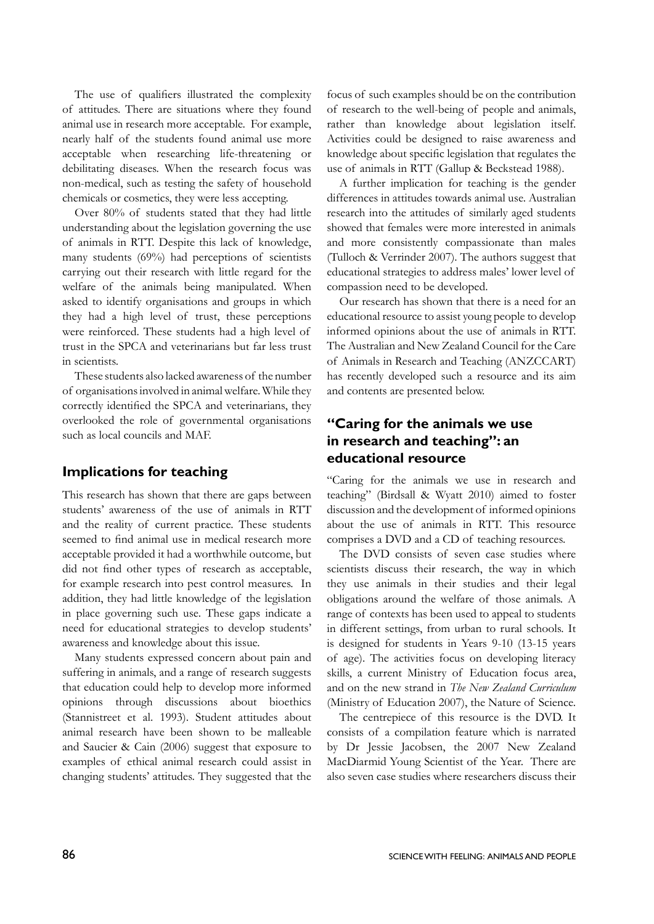The use of qualifiers illustrated the complexity of attitudes. There are situations where they found animal use in research more acceptable. For example, nearly half of the students found animal use more acceptable when researching life-threatening or debilitating diseases. When the research focus was non-medical, such as testing the safety of household chemicals or cosmetics, they were less accepting.

Over 80% of students stated that they had little understanding about the legislation governing the use of animals in RTT. Despite this lack of knowledge, many students (69%) had perceptions of scientists carrying out their research with little regard for the welfare of the animals being manipulated. When asked to identify organisations and groups in which they had a high level of trust, these perceptions were reinforced. These students had a high level of trust in the SPCA and veterinarians but far less trust in scientists.

These students also lacked awareness of the number of organisations involved in animal welfare. While they correctly identified the SPCA and veterinarians, they overlooked the role of governmental organisations such as local councils and MAF.

#### **Implications for teaching**

This research has shown that there are gaps between students' awareness of the use of animals in RTT and the reality of current practice. These students seemed to find animal use in medical research more acceptable provided it had a worthwhile outcome, but did not find other types of research as acceptable, for example research into pest control measures. In addition, they had little knowledge of the legislation in place governing such use. These gaps indicate a need for educational strategies to develop students' awareness and knowledge about this issue.

Many students expressed concern about pain and suffering in animals, and a range of research suggests that education could help to develop more informed opinions through discussions about bioethics (Stannistreet et al. 1993). Student attitudes about animal research have been shown to be malleable and Saucier & Cain (2006) suggest that exposure to examples of ethical animal research could assist in changing students' attitudes. They suggested that the focus of such examples should be on the contribution of research to the well-being of people and animals, rather than knowledge about legislation itself. Activities could be designed to raise awareness and knowledge about specific legislation that regulates the use of animals in RTT (Gallup & Beckstead 1988).

A further implication for teaching is the gender differences in attitudes towards animal use. Australian research into the attitudes of similarly aged students showed that females were more interested in animals and more consistently compassionate than males (Tulloch & Verrinder 2007). The authors suggest that educational strategies to address males' lower level of compassion need to be developed.

Our research has shown that there is a need for an educational resource to assist young people to develop informed opinions about the use of animals in RTT. The Australian and New Zealand Council for the Care of Animals in Research and Teaching (ANZCCART) has recently developed such a resource and its aim and contents are presented below.

# **"Caring for the animals we use in research and teaching": an educational resource**

"Caring for the animals we use in research and teaching" (Birdsall & Wyatt 2010) aimed to foster discussion and the development of informed opinions about the use of animals in RTT. This resource comprises a DVD and a CD of teaching resources.

The DVD consists of seven case studies where scientists discuss their research, the way in which they use animals in their studies and their legal obligations around the welfare of those animals. A range of contexts has been used to appeal to students in different settings, from urban to rural schools. It is designed for students in Years 9-10 (13-15 years of age). The activities focus on developing literacy skills, a current Ministry of Education focus area, and on the new strand in *The New Zealand Curriculum*  (Ministry of Education 2007), the Nature of Science.

The centrepiece of this resource is the DVD. It consists of a compilation feature which is narrated by Dr Jessie Jacobsen, the 2007 New Zealand MacDiarmid Young Scientist of the Year. There are also seven case studies where researchers discuss their